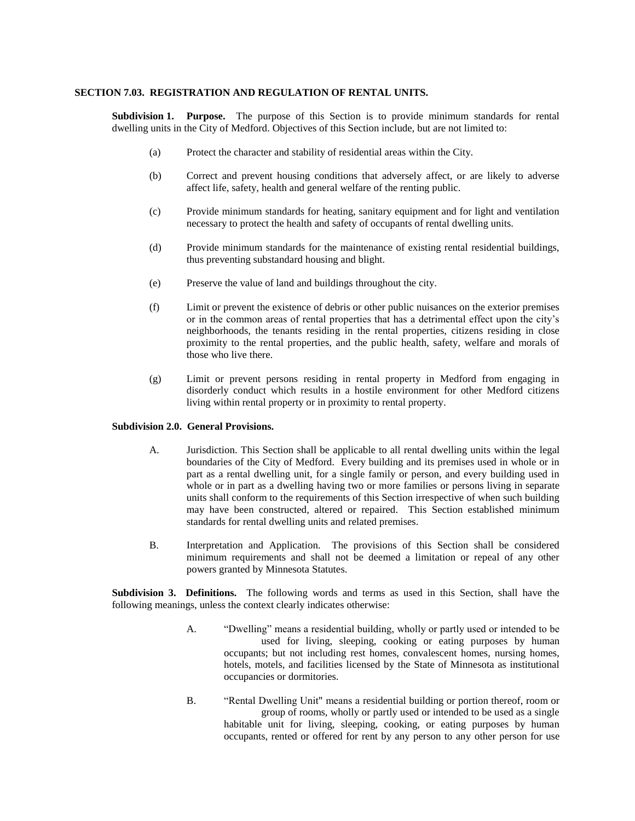### **SECTION 7.03. REGISTRATION AND REGULATION OF RENTAL UNITS.**

**Subdivision 1. Purpose.** The purpose of this Section is to provide minimum standards for rental dwelling units in the City of Medford. Objectives of this Section include, but are not limited to:

- (a) Protect the character and stability of residential areas within the City.
- (b) Correct and prevent housing conditions that adversely affect, or are likely to adverse affect life, safety, health and general welfare of the renting public.
- (c) Provide minimum standards for heating, sanitary equipment and for light and ventilation necessary to protect the health and safety of occupants of rental dwelling units.
- (d) Provide minimum standards for the maintenance of existing rental residential buildings, thus preventing substandard housing and blight.
- (e) Preserve the value of land and buildings throughout the city.
- (f) Limit or prevent the existence of debris or other public nuisances on the exterior premises or in the common areas of rental properties that has a detrimental effect upon the city's neighborhoods, the tenants residing in the rental properties, citizens residing in close proximity to the rental properties, and the public health, safety, welfare and morals of those who live there.
- (g) Limit or prevent persons residing in rental property in Medford from engaging in disorderly conduct which results in a hostile environment for other Medford citizens living within rental property or in proximity to rental property.

### **Subdivision 2.0. General Provisions.**

- A. Jurisdiction. This Section shall be applicable to all rental dwelling units within the legal boundaries of the City of Medford. Every building and its premises used in whole or in part as a rental dwelling unit, for a single family or person, and every building used in whole or in part as a dwelling having two or more families or persons living in separate units shall conform to the requirements of this Section irrespective of when such building may have been constructed, altered or repaired. This Section established minimum standards for rental dwelling units and related premises.
- B. Interpretation and Application. The provisions of this Section shall be considered minimum requirements and shall not be deemed a limitation or repeal of any other powers granted by Minnesota Statutes.

**Subdivision 3. Definitions.** The following words and terms as used in this Section, shall have the following meanings, unless the context clearly indicates otherwise:

- A. "Dwelling" means a residential building, wholly or partly used or intended to be used for living, sleeping, cooking or eating purposes by human occupants; but not including rest homes, convalescent homes, nursing homes, hotels, motels, and facilities licensed by the State of Minnesota as institutional occupancies or dormitories.
- B. "Rental Dwelling Unit" means a residential building or portion thereof, room or group of rooms, wholly or partly used or intended to be used as a single habitable unit for living, sleeping, cooking, or eating purposes by human occupants, rented or offered for rent by any person to any other person for use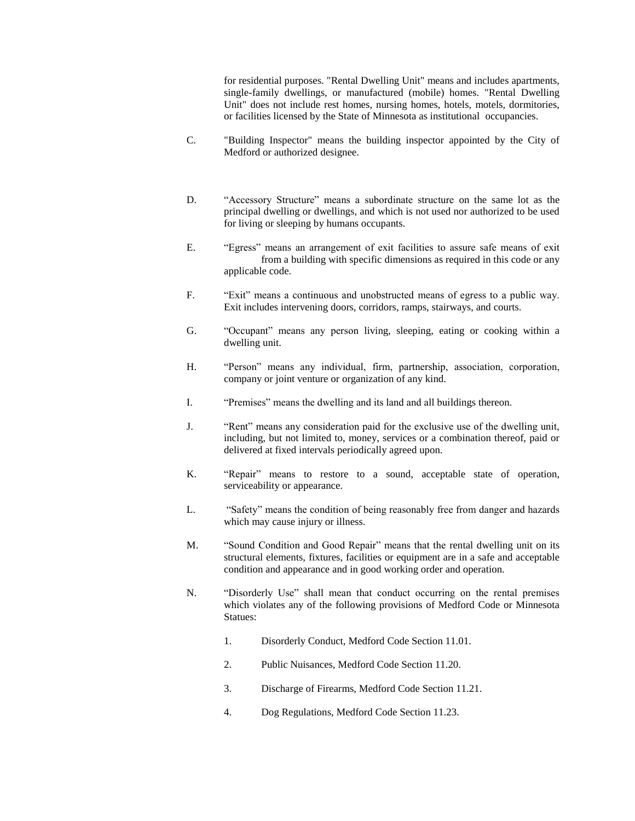for residential purposes. "Rental Dwelling Unit" means and includes apartments, single-family dwellings, or manufactured (mobile) homes. "Rental Dwelling Unit" does not include rest homes, nursing homes, hotels, motels, dormitories, or facilities licensed by the State of Minnesota as institutional occupancies.

- C. "Building Inspector" means the building inspector appointed by the City of Medford or authorized designee.
- D. "Accessory Structure" means a subordinate structure on the same lot as the principal dwelling or dwellings, and which is not used nor authorized to be used for living or sleeping by humans occupants.
- E. "Egress" means an arrangement of exit facilities to assure safe means of exit from a building with specific dimensions as required in this code or any applicable code.
- F. "Exit" means a continuous and unobstructed means of egress to a public way. Exit includes intervening doors, corridors, ramps, stairways, and courts.
- G. "Occupant" means any person living, sleeping, eating or cooking within a dwelling unit.
- H. "Person" means any individual, firm, partnership, association, corporation, company or joint venture or organization of any kind.
- I. "Premises" means the dwelling and its land and all buildings thereon.
- J. "Rent" means any consideration paid for the exclusive use of the dwelling unit, including, but not limited to, money, services or a combination thereof, paid or delivered at fixed intervals periodically agreed upon.
- K. "Repair" means to restore to a sound, acceptable state of operation, serviceability or appearance.
- L. "Safety" means the condition of being reasonably free from danger and hazards which may cause injury or illness.
- M. "Sound Condition and Good Repair" means that the rental dwelling unit on its structural elements, fixtures, facilities or equipment are in a safe and acceptable condition and appearance and in good working order and operation.
- N. "Disorderly Use" shall mean that conduct occurring on the rental premises which violates any of the following provisions of Medford Code or Minnesota Statues:
	- 1. Disorderly Conduct, Medford Code Section 11.01.
	- 2. Public Nuisances, Medford Code Section 11.20.
	- 3. Discharge of Firearms, Medford Code Section 11.21.
	- 4. Dog Regulations, Medford Code Section 11.23.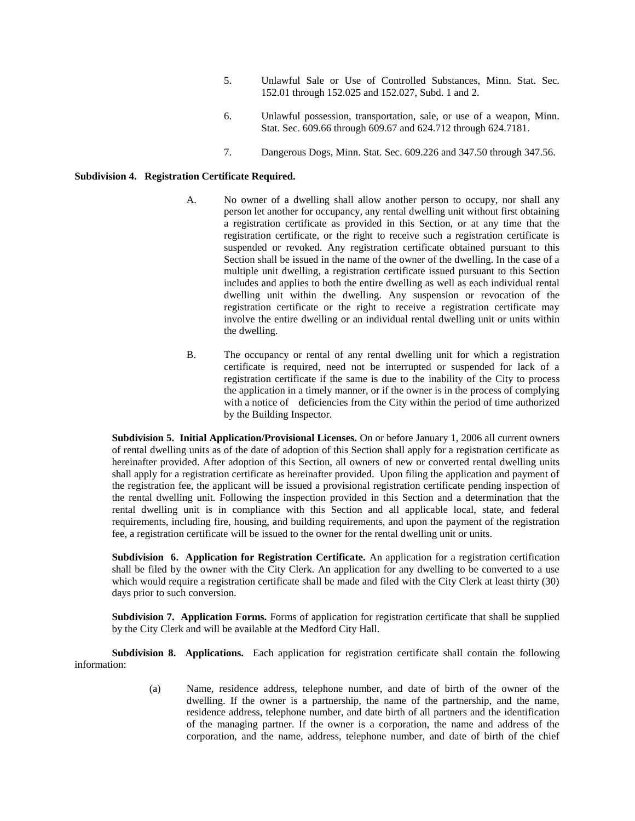- 5. Unlawful Sale or Use of Controlled Substances, Minn. Stat. Sec. 152.01 through 152.025 and 152.027, Subd. 1 and 2.
- 6. Unlawful possession, transportation, sale, or use of a weapon, Minn. Stat. Sec. 609.66 through 609.67 and 624.712 through 624.7181.
- 7. Dangerous Dogs, Minn. Stat. Sec. 609.226 and 347.50 through 347.56.

# **Subdivision 4. Registration Certificate Required.**

- A. No owner of a dwelling shall allow another person to occupy, nor shall any person let another for occupancy, any rental dwelling unit without first obtaining a registration certificate as provided in this Section, or at any time that the registration certificate, or the right to receive such a registration certificate is suspended or revoked. Any registration certificate obtained pursuant to this Section shall be issued in the name of the owner of the dwelling. In the case of a multiple unit dwelling, a registration certificate issued pursuant to this Section includes and applies to both the entire dwelling as well as each individual rental dwelling unit within the dwelling. Any suspension or revocation of the registration certificate or the right to receive a registration certificate may involve the entire dwelling or an individual rental dwelling unit or units within the dwelling.
- B. The occupancy or rental of any rental dwelling unit for which a registration certificate is required, need not be interrupted or suspended for lack of a registration certificate if the same is due to the inability of the City to process the application in a timely manner, or if the owner is in the process of complying with a notice of deficiencies from the City within the period of time authorized by the Building Inspector.

**Subdivision 5. Initial Application/Provisional Licenses.** On or before January 1, 2006 all current owners of rental dwelling units as of the date of adoption of this Section shall apply for a registration certificate as hereinafter provided. After adoption of this Section, all owners of new or converted rental dwelling units shall apply for a registration certificate as hereinafter provided. Upon filing the application and payment of the registration fee, the applicant will be issued a provisional registration certificate pending inspection of the rental dwelling unit. Following the inspection provided in this Section and a determination that the rental dwelling unit is in compliance with this Section and all applicable local, state, and federal requirements, including fire, housing, and building requirements, and upon the payment of the registration fee, a registration certificate will be issued to the owner for the rental dwelling unit or units.

**Subdivision 6. Application for Registration Certificate.** An application for a registration certification shall be filed by the owner with the City Clerk. An application for any dwelling to be converted to a use which would require a registration certificate shall be made and filed with the City Clerk at least thirty (30) days prior to such conversion.

**Subdivision 7. Application Forms.** Forms of application for registration certificate that shall be supplied by the City Clerk and will be available at the Medford City Hall.

**Subdivision 8. Applications.** Each application for registration certificate shall contain the following information:

> (a) Name, residence address, telephone number, and date of birth of the owner of the dwelling. If the owner is a partnership, the name of the partnership, and the name, residence address, telephone number, and date birth of all partners and the identification of the managing partner. If the owner is a corporation, the name and address of the corporation, and the name, address, telephone number, and date of birth of the chief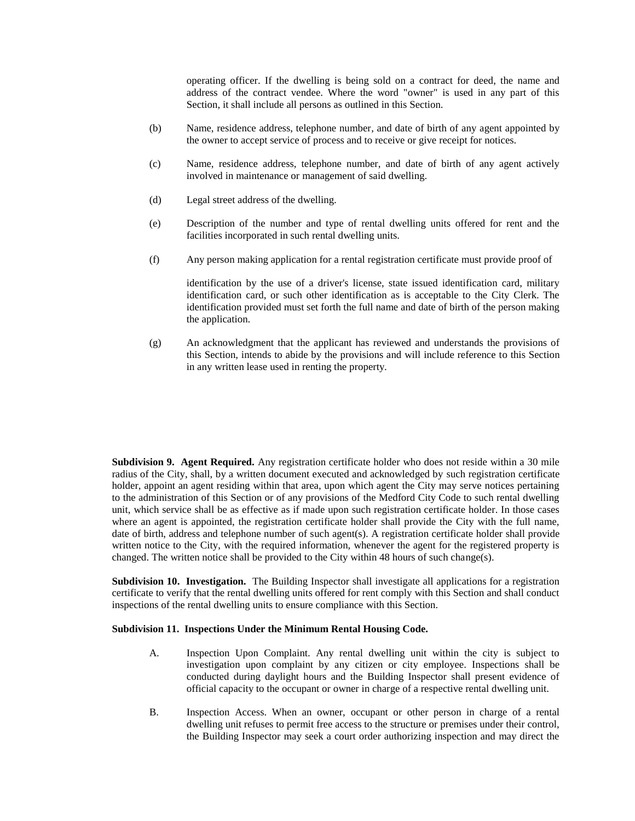operating officer. If the dwelling is being sold on a contract for deed, the name and address of the contract vendee. Where the word "owner" is used in any part of this Section, it shall include all persons as outlined in this Section.

- (b) Name, residence address, telephone number, and date of birth of any agent appointed by the owner to accept service of process and to receive or give receipt for notices.
- (c) Name, residence address, telephone number, and date of birth of any agent actively involved in maintenance or management of said dwelling.
- (d) Legal street address of the dwelling.
- (e) Description of the number and type of rental dwelling units offered for rent and the facilities incorporated in such rental dwelling units.
- (f) Any person making application for a rental registration certificate must provide proof of

identification by the use of a driver's license, state issued identification card, military identification card, or such other identification as is acceptable to the City Clerk. The identification provided must set forth the full name and date of birth of the person making the application.

(g) An acknowledgment that the applicant has reviewed and understands the provisions of this Section, intends to abide by the provisions and will include reference to this Section in any written lease used in renting the property.

**Subdivision 9. Agent Required.** Any registration certificate holder who does not reside within a 30 mile radius of the City, shall, by a written document executed and acknowledged by such registration certificate holder, appoint an agent residing within that area, upon which agent the City may serve notices pertaining to the administration of this Section or of any provisions of the Medford City Code to such rental dwelling unit, which service shall be as effective as if made upon such registration certificate holder. In those cases where an agent is appointed, the registration certificate holder shall provide the City with the full name, date of birth, address and telephone number of such agent(s). A registration certificate holder shall provide written notice to the City, with the required information, whenever the agent for the registered property is changed. The written notice shall be provided to the City within 48 hours of such change(s).

**Subdivision 10. Investigation.** The Building Inspector shall investigate all applications for a registration certificate to verify that the rental dwelling units offered for rent comply with this Section and shall conduct inspections of the rental dwelling units to ensure compliance with this Section.

#### **Subdivision 11. Inspections Under the Minimum Rental Housing Code.**

- A. Inspection Upon Complaint. Any rental dwelling unit within the city is subject to investigation upon complaint by any citizen or city employee. Inspections shall be conducted during daylight hours and the Building Inspector shall present evidence of official capacity to the occupant or owner in charge of a respective rental dwelling unit.
- B. Inspection Access. When an owner, occupant or other person in charge of a rental dwelling unit refuses to permit free access to the structure or premises under their control, the Building Inspector may seek a court order authorizing inspection and may direct the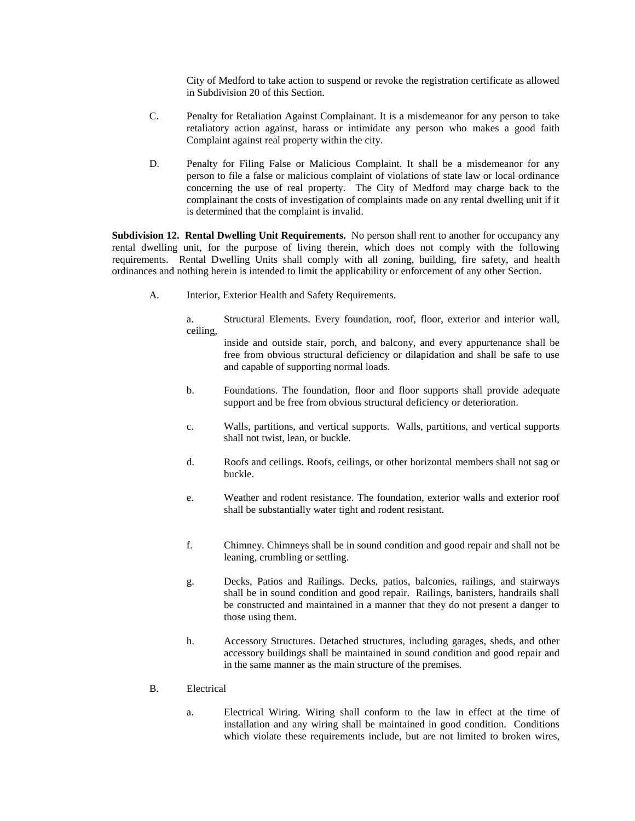City of Medford to take action to suspend or revoke the registration certificate as allowed in Subdivision 20 of this Section.

- C. Penalty for Retaliation Against Complainant. It is a misdemeanor for any person to take retaliatory action against, harass or intimidate any person who makes a good faith Complaint against real property within the city.
- D. Penalty for Filing False or Malicious Complaint. It shall be a misdemeanor for any person to file a false or malicious complaint of violations of state law or local ordinance concerning the use of real property. The City of Medford may charge back to the complainant the costs of investigation of complaints made on any rental dwelling unit if it is determined that the complaint is invalid.

**Subdivision 12. Rental Dwelling Unit Requirements.** No person shall rent to another for occupancy any rental dwelling unit, for the purpose of living therein, which does not comply with the following requirements. Rental Dwelling Units shall comply with all zoning, building, fire safety, and health ordinances and nothing herein is intended to limit the applicability or enforcement of any other Section.

A. Interior, Exterior Health and Safety Requirements.

a. Structural Elements. Every foundation, roof, floor, exterior and interior wall, ceiling,

- inside and outside stair, porch, and balcony, and every appurtenance shall be free from obvious structural deficiency or dilapidation and shall be safe to use and capable of supporting normal loads.
- b. Foundations. The foundation, floor and floor supports shall provide adequate support and be free from obvious structural deficiency or deterioration.
- c. Walls, partitions, and vertical supports. Walls, partitions, and vertical supports shall not twist, lean, or buckle.
- d. Roofs and ceilings. Roofs, ceilings, or other horizontal members shall not sag or buckle.
- e. Weather and rodent resistance. The foundation, exterior walls and exterior roof shall be substantially water tight and rodent resistant.
- f. Chimney. Chimneys shall be in sound condition and good repair and shall not be leaning, crumbling or settling.
- g. Decks, Patios and Railings. Decks, patios, balconies, railings, and stairways shall be in sound condition and good repair. Railings, banisters, handrails shall be constructed and maintained in a manner that they do not present a danger to those using them.
- h. Accessory Structures. Detached structures, including garages, sheds, and other accessory buildings shall be maintained in sound condition and good repair and in the same manner as the main structure of the premises.
- B. Electrical
	- a. Electrical Wiring. Wiring shall conform to the law in effect at the time of installation and any wiring shall be maintained in good condition. Conditions which violate these requirements include, but are not limited to broken wires,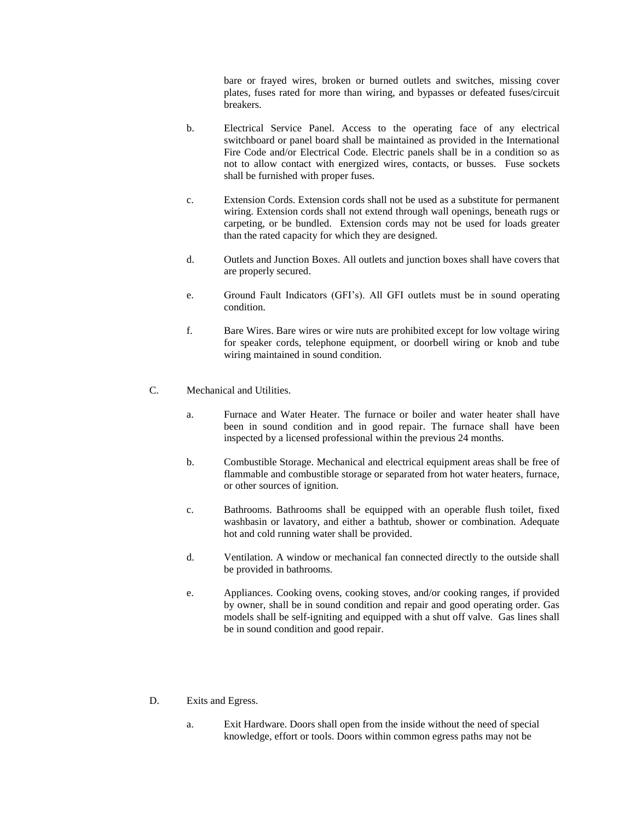bare or frayed wires, broken or burned outlets and switches, missing cover plates, fuses rated for more than wiring, and bypasses or defeated fuses/circuit breakers.

- b. Electrical Service Panel. Access to the operating face of any electrical switchboard or panel board shall be maintained as provided in the International Fire Code and/or Electrical Code. Electric panels shall be in a condition so as not to allow contact with energized wires, contacts, or busses. Fuse sockets shall be furnished with proper fuses.
- c. Extension Cords. Extension cords shall not be used as a substitute for permanent wiring. Extension cords shall not extend through wall openings, beneath rugs or carpeting, or be bundled. Extension cords may not be used for loads greater than the rated capacity for which they are designed.
- d. Outlets and Junction Boxes. All outlets and junction boxes shall have covers that are properly secured.
- e. Ground Fault Indicators (GFI's). All GFI outlets must be in sound operating condition.
- f. Bare Wires. Bare wires or wire nuts are prohibited except for low voltage wiring for speaker cords, telephone equipment, or doorbell wiring or knob and tube wiring maintained in sound condition.
- C. Mechanical and Utilities.
	- a. Furnace and Water Heater. The furnace or boiler and water heater shall have been in sound condition and in good repair. The furnace shall have been inspected by a licensed professional within the previous 24 months.
	- b. Combustible Storage. Mechanical and electrical equipment areas shall be free of flammable and combustible storage or separated from hot water heaters, furnace, or other sources of ignition.
	- c. Bathrooms. Bathrooms shall be equipped with an operable flush toilet, fixed washbasin or lavatory, and either a bathtub, shower or combination. Adequate hot and cold running water shall be provided.
	- d. Ventilation. A window or mechanical fan connected directly to the outside shall be provided in bathrooms.
	- e. Appliances. Cooking ovens, cooking stoves, and/or cooking ranges, if provided by owner, shall be in sound condition and repair and good operating order. Gas models shall be self-igniting and equipped with a shut off valve. Gas lines shall be in sound condition and good repair.
- D. Exits and Egress.
	- a. Exit Hardware. Doors shall open from the inside without the need of special knowledge, effort or tools. Doors within common egress paths may not be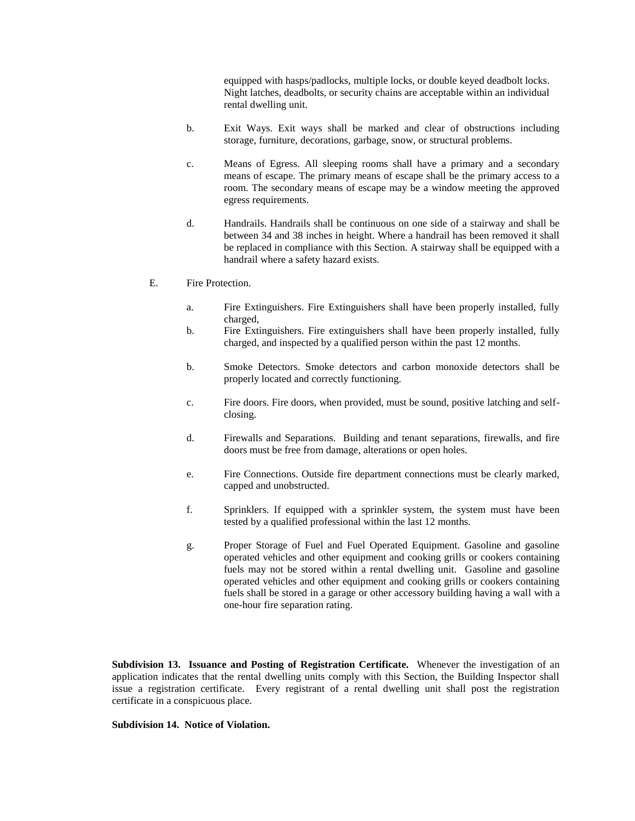equipped with hasps/padlocks, multiple locks, or double keyed deadbolt locks. Night latches, deadbolts, or security chains are acceptable within an individual rental dwelling unit.

- b. Exit Ways. Exit ways shall be marked and clear of obstructions including storage, furniture, decorations, garbage, snow, or structural problems.
- c. Means of Egress. All sleeping rooms shall have a primary and a secondary means of escape. The primary means of escape shall be the primary access to a room. The secondary means of escape may be a window meeting the approved egress requirements.
- d. Handrails. Handrails shall be continuous on one side of a stairway and shall be between 34 and 38 inches in height. Where a handrail has been removed it shall be replaced in compliance with this Section. A stairway shall be equipped with a handrail where a safety hazard exists.
- E. Fire Protection.
	- a. Fire Extinguishers. Fire Extinguishers shall have been properly installed, fully charged,
	- b. Fire Extinguishers. Fire extinguishers shall have been properly installed, fully charged, and inspected by a qualified person within the past 12 months.
	- b. Smoke Detectors. Smoke detectors and carbon monoxide detectors shall be properly located and correctly functioning.
	- c. Fire doors. Fire doors, when provided, must be sound, positive latching and selfclosing.
	- d. Firewalls and Separations. Building and tenant separations, firewalls, and fire doors must be free from damage, alterations or open holes.
	- e. Fire Connections. Outside fire department connections must be clearly marked, capped and unobstructed.
	- f. Sprinklers. If equipped with a sprinkler system, the system must have been tested by a qualified professional within the last 12 months.
	- g. Proper Storage of Fuel and Fuel Operated Equipment. Gasoline and gasoline operated vehicles and other equipment and cooking grills or cookers containing fuels may not be stored within a rental dwelling unit. Gasoline and gasoline operated vehicles and other equipment and cooking grills or cookers containing fuels shall be stored in a garage or other accessory building having a wall with a one-hour fire separation rating.

**Subdivision 13. Issuance and Posting of Registration Certificate.** Whenever the investigation of an application indicates that the rental dwelling units comply with this Section, the Building Inspector shall issue a registration certificate. Every registrant of a rental dwelling unit shall post the registration certificate in a conspicuous place.

### **Subdivision 14. Notice of Violation.**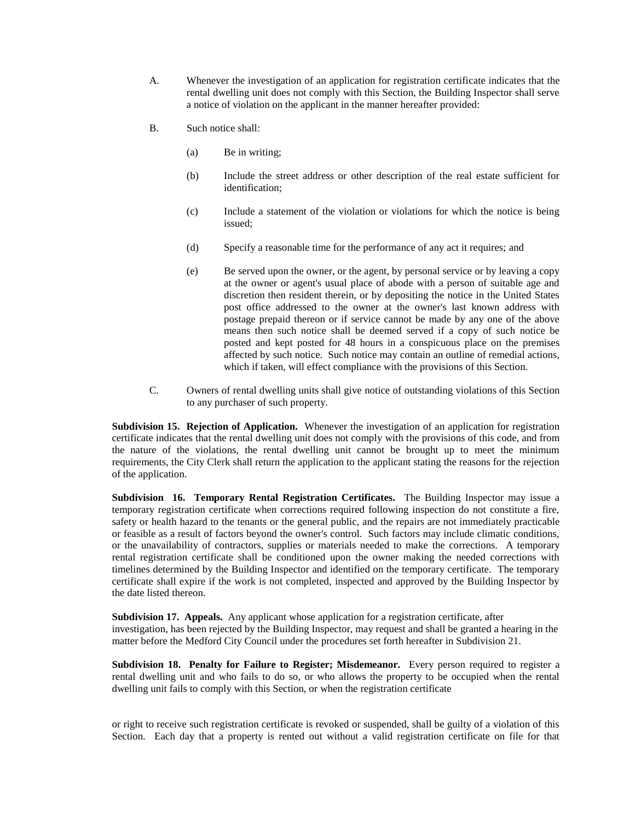- A. Whenever the investigation of an application for registration certificate indicates that the rental dwelling unit does not comply with this Section, the Building Inspector shall serve a notice of violation on the applicant in the manner hereafter provided:
- B. Such notice shall:
	- (a) Be in writing;
	- (b) Include the street address or other description of the real estate sufficient for identification;
	- (c) Include a statement of the violation or violations for which the notice is being issued;
	- (d) Specify a reasonable time for the performance of any act it requires; and
	- (e) Be served upon the owner, or the agent, by personal service or by leaving a copy at the owner or agent's usual place of abode with a person of suitable age and discretion then resident therein, or by depositing the notice in the United States post office addressed to the owner at the owner's last known address with postage prepaid thereon or if service cannot be made by any one of the above means then such notice shall be deemed served if a copy of such notice be posted and kept posted for 48 hours in a conspicuous place on the premises affected by such notice. Such notice may contain an outline of remedial actions, which if taken, will effect compliance with the provisions of this Section.
- C. Owners of rental dwelling units shall give notice of outstanding violations of this Section to any purchaser of such property.

**Subdivision 15. Rejection of Application.** Whenever the investigation of an application for registration certificate indicates that the rental dwelling unit does not comply with the provisions of this code, and from the nature of the violations, the rental dwelling unit cannot be brought up to meet the minimum requirements, the City Clerk shall return the application to the applicant stating the reasons for the rejection of the application.

**Subdivision 16. Temporary Rental Registration Certificates.** The Building Inspector may issue a temporary registration certificate when corrections required following inspection do not constitute a fire, safety or health hazard to the tenants or the general public, and the repairs are not immediately practicable or feasible as a result of factors beyond the owner's control. Such factors may include climatic conditions, or the unavailability of contractors, supplies or materials needed to make the corrections. A temporary rental registration certificate shall be conditioned upon the owner making the needed corrections with timelines determined by the Building Inspector and identified on the temporary certificate. The temporary certificate shall expire if the work is not completed, inspected and approved by the Building Inspector by the date listed thereon.

**Subdivision 17. Appeals.** Any applicant whose application for a registration certificate, after investigation, has been rejected by the Building Inspector, may request and shall be granted a hearing in the matter before the Medford City Council under the procedures set forth hereafter in Subdivision 21.

**Subdivision 18. Penalty for Failure to Register; Misdemeanor.** Every person required to register a rental dwelling unit and who fails to do so, or who allows the property to be occupied when the rental dwelling unit fails to comply with this Section, or when the registration certificate

or right to receive such registration certificate is revoked or suspended, shall be guilty of a violation of this Section. Each day that a property is rented out without a valid registration certificate on file for that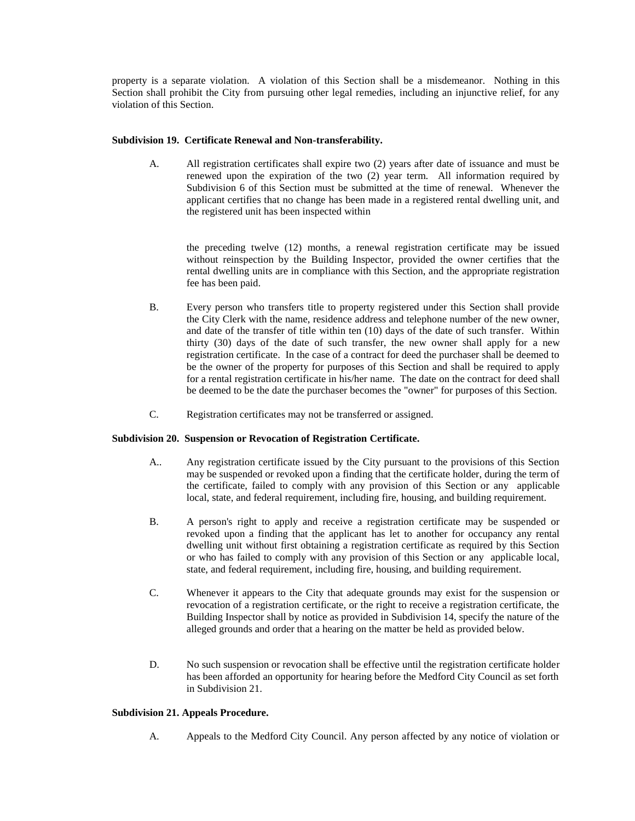property is a separate violation. A violation of this Section shall be a misdemeanor. Nothing in this Section shall prohibit the City from pursuing other legal remedies, including an injunctive relief, for any violation of this Section.

# **Subdivision 19. Certificate Renewal and Non-transferability.**

A. All registration certificates shall expire two (2) years after date of issuance and must be renewed upon the expiration of the two (2) year term. All information required by Subdivision 6 of this Section must be submitted at the time of renewal. Whenever the applicant certifies that no change has been made in a registered rental dwelling unit, and the registered unit has been inspected within

the preceding twelve (12) months, a renewal registration certificate may be issued without reinspection by the Building Inspector, provided the owner certifies that the rental dwelling units are in compliance with this Section, and the appropriate registration fee has been paid.

- B. Every person who transfers title to property registered under this Section shall provide the City Clerk with the name, residence address and telephone number of the new owner, and date of the transfer of title within ten (10) days of the date of such transfer. Within thirty (30) days of the date of such transfer, the new owner shall apply for a new registration certificate. In the case of a contract for deed the purchaser shall be deemed to be the owner of the property for purposes of this Section and shall be required to apply for a rental registration certificate in his/her name. The date on the contract for deed shall be deemed to be the date the purchaser becomes the "owner" for purposes of this Section.
- C. Registration certificates may not be transferred or assigned.

### **Subdivision 20. Suspension or Revocation of Registration Certificate.**

- A.. Any registration certificate issued by the City pursuant to the provisions of this Section may be suspended or revoked upon a finding that the certificate holder, during the term of the certificate, failed to comply with any provision of this Section or any applicable local, state, and federal requirement, including fire, housing, and building requirement.
- B. A person's right to apply and receive a registration certificate may be suspended or revoked upon a finding that the applicant has let to another for occupancy any rental dwelling unit without first obtaining a registration certificate as required by this Section or who has failed to comply with any provision of this Section or any applicable local, state, and federal requirement, including fire, housing, and building requirement.
- C. Whenever it appears to the City that adequate grounds may exist for the suspension or revocation of a registration certificate, or the right to receive a registration certificate, the Building Inspector shall by notice as provided in Subdivision 14, specify the nature of the alleged grounds and order that a hearing on the matter be held as provided below.
- D. No such suspension or revocation shall be effective until the registration certificate holder has been afforded an opportunity for hearing before the Medford City Council as set forth in Subdivision 21.

# **Subdivision 21. Appeals Procedure.**

A. Appeals to the Medford City Council. Any person affected by any notice of violation or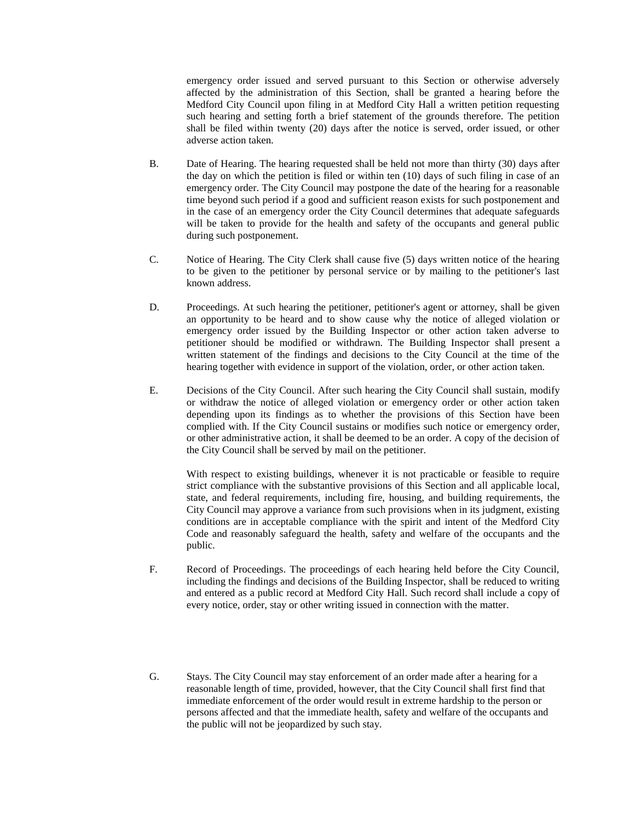emergency order issued and served pursuant to this Section or otherwise adversely affected by the administration of this Section, shall be granted a hearing before the Medford City Council upon filing in at Medford City Hall a written petition requesting such hearing and setting forth a brief statement of the grounds therefore. The petition shall be filed within twenty (20) days after the notice is served, order issued, or other adverse action taken.

- B. Date of Hearing. The hearing requested shall be held not more than thirty (30) days after the day on which the petition is filed or within ten (10) days of such filing in case of an emergency order. The City Council may postpone the date of the hearing for a reasonable time beyond such period if a good and sufficient reason exists for such postponement and in the case of an emergency order the City Council determines that adequate safeguards will be taken to provide for the health and safety of the occupants and general public during such postponement.
- C. Notice of Hearing. The City Clerk shall cause five (5) days written notice of the hearing to be given to the petitioner by personal service or by mailing to the petitioner's last known address.
- D. Proceedings. At such hearing the petitioner, petitioner's agent or attorney, shall be given an opportunity to be heard and to show cause why the notice of alleged violation or emergency order issued by the Building Inspector or other action taken adverse to petitioner should be modified or withdrawn. The Building Inspector shall present a written statement of the findings and decisions to the City Council at the time of the hearing together with evidence in support of the violation, order, or other action taken.
- E. Decisions of the City Council. After such hearing the City Council shall sustain, modify or withdraw the notice of alleged violation or emergency order or other action taken depending upon its findings as to whether the provisions of this Section have been complied with. If the City Council sustains or modifies such notice or emergency order, or other administrative action, it shall be deemed to be an order. A copy of the decision of the City Council shall be served by mail on the petitioner.

With respect to existing buildings, whenever it is not practicable or feasible to require strict compliance with the substantive provisions of this Section and all applicable local, state, and federal requirements, including fire, housing, and building requirements, the City Council may approve a variance from such provisions when in its judgment, existing conditions are in acceptable compliance with the spirit and intent of the Medford City Code and reasonably safeguard the health, safety and welfare of the occupants and the public.

- F. Record of Proceedings. The proceedings of each hearing held before the City Council, including the findings and decisions of the Building Inspector, shall be reduced to writing and entered as a public record at Medford City Hall. Such record shall include a copy of every notice, order, stay or other writing issued in connection with the matter.
- G. Stays. The City Council may stay enforcement of an order made after a hearing for a reasonable length of time, provided, however, that the City Council shall first find that immediate enforcement of the order would result in extreme hardship to the person or persons affected and that the immediate health, safety and welfare of the occupants and the public will not be jeopardized by such stay.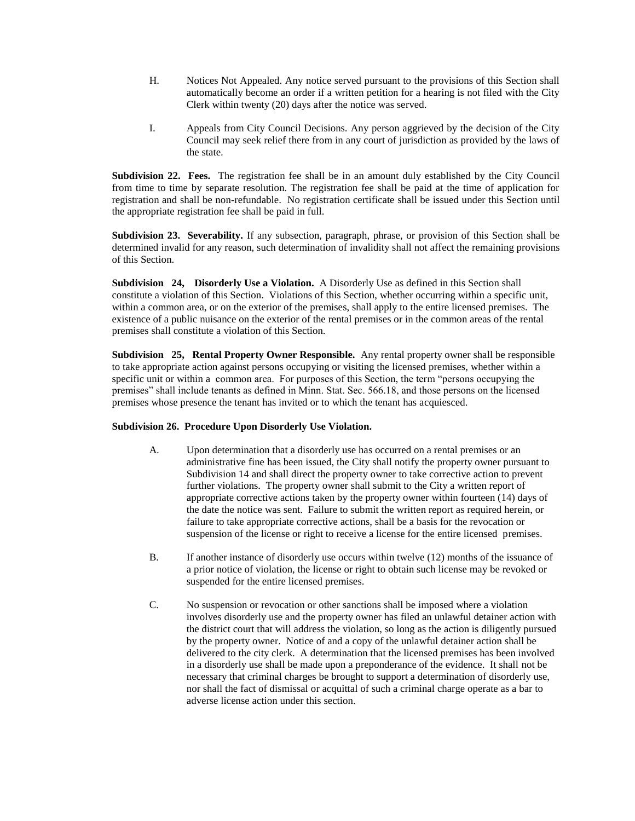- H. Notices Not Appealed. Any notice served pursuant to the provisions of this Section shall automatically become an order if a written petition for a hearing is not filed with the City Clerk within twenty (20) days after the notice was served.
- I. Appeals from City Council Decisions. Any person aggrieved by the decision of the City Council may seek relief there from in any court of jurisdiction as provided by the laws of the state.

**Subdivision 22. Fees.** The registration fee shall be in an amount duly established by the City Council from time to time by separate resolution. The registration fee shall be paid at the time of application for registration and shall be non-refundable. No registration certificate shall be issued under this Section until the appropriate registration fee shall be paid in full.

**Subdivision 23. Severability.** If any subsection, paragraph, phrase, or provision of this Section shall be determined invalid for any reason, such determination of invalidity shall not affect the remaining provisions of this Section.

**Subdivision 24, Disorderly Use a Violation.** A Disorderly Use as defined in this Section shall constitute a violation of this Section. Violations of this Section, whether occurring within a specific unit, within a common area, or on the exterior of the premises, shall apply to the entire licensed premises. The existence of a public nuisance on the exterior of the rental premises or in the common areas of the rental premises shall constitute a violation of this Section.

**Subdivision 25, Rental Property Owner Responsible.** Any rental property owner shall be responsible to take appropriate action against persons occupying or visiting the licensed premises, whether within a specific unit or within a common area. For purposes of this Section, the term "persons occupying the premises" shall include tenants as defined in Minn. Stat. Sec. 566.18, and those persons on the licensed premises whose presence the tenant has invited or to which the tenant has acquiesced.

### **Subdivision 26. Procedure Upon Disorderly Use Violation.**

- A. Upon determination that a disorderly use has occurred on a rental premises or an administrative fine has been issued, the City shall notify the property owner pursuant to Subdivision 14 and shall direct the property owner to take corrective action to prevent further violations. The property owner shall submit to the City a written report of appropriate corrective actions taken by the property owner within fourteen (14) days of the date the notice was sent. Failure to submit the written report as required herein, or failure to take appropriate corrective actions, shall be a basis for the revocation or suspension of the license or right to receive a license for the entire licensed premises.
- B. If another instance of disorderly use occurs within twelve (12) months of the issuance of a prior notice of violation, the license or right to obtain such license may be revoked or suspended for the entire licensed premises.
- C. No suspension or revocation or other sanctions shall be imposed where a violation involves disorderly use and the property owner has filed an unlawful detainer action with the district court that will address the violation, so long as the action is diligently pursued by the property owner. Notice of and a copy of the unlawful detainer action shall be delivered to the city clerk. A determination that the licensed premises has been involved in a disorderly use shall be made upon a preponderance of the evidence. It shall not be necessary that criminal charges be brought to support a determination of disorderly use, nor shall the fact of dismissal or acquittal of such a criminal charge operate as a bar to adverse license action under this section.